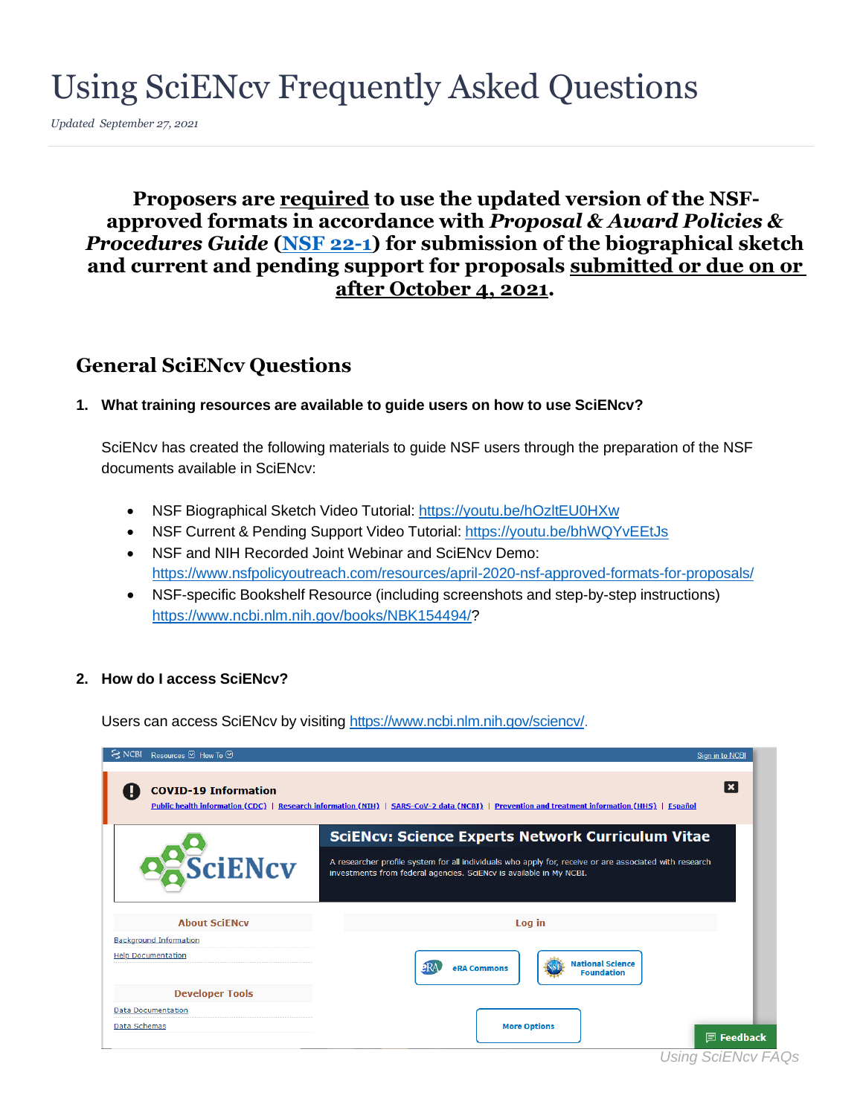# Using SciENcv Frequently Asked Questions

*Updated September 27, 2021* 

### **approved formats in accordance with** *Proposal & Award Policies &*  **Proposers are required to use the updated version of the NSF-***Procedures Guide* **[\(NSF 22-1\)](https://www.nsf.gov/publications/pub_summ.jsp?ods_key=nsf22001) for submission of the biographical sketch and current and pending support for proposals submitted or due on or after October 4, 2021.**

## **General SciENcv Questions**

#### **1. What training resources are available to guide users on how to use SciENcv?**

SciENcv has created the following materials to guide NSF users through the preparation of the NSF documents available in SciENcv:

- NSF Biographical Sketch Video Tutorial: https://youtu.be/hOzltEU0HXw
- NSF Current & Pending Support Video Tutorial:<https://youtu.be/bhWQYvEEtJs>
- NSF and NIH Recorded Joint Webinar and SciENcv Demo: <https://www.nsfpolicyoutreach.com/resources/april-2020-nsf-approved-formats-for-proposals/>
- NSF-specific Bookshelf Resource (including screenshots and step-by-step instructions) [https://www.ncbi.nlm.nih.gov/books/NBK154494/?](https://www.ncbi.nlm.nih.gov/books/NBK154494/)

#### **2. How do I access SciENcv?**

Users can access SciENcv by visiting [https://www.ncbi.nlm.nih.gov/sciencv/.](https://www.ncbi.nlm.nih.gov/sciencv/)

| Resources <b>⊙</b> How To <b>⊙</b><br><b>NCBI</b> | Sign in to NCBI                                                                                                                                                               |
|---------------------------------------------------|-------------------------------------------------------------------------------------------------------------------------------------------------------------------------------|
| <b>COVID-19 Information</b>                       | l ×<br>Public health information (CDC)   Research information (NIH)   SARS-CoV-2 data (NCBI)   Prevention and treatment information (HHS)   Español                           |
|                                                   | <b>SciENcv: Science Experts Network Curriculum Vitae</b>                                                                                                                      |
| SciENcv                                           | A researcher profile system for all individuals who apply for, receive or are associated with research<br>investments from federal agencies. SciENcv is available in My NCBI. |
| <b>About SciENcy</b>                              | Log in                                                                                                                                                                        |
| <b>Background Information</b>                     |                                                                                                                                                                               |
| <b>Help Documentation</b>                         | <b>National Science</b><br>ERA<br>eRA Commons<br><b>Foundation</b>                                                                                                            |
| <b>Developer Tools</b>                            |                                                                                                                                                                               |
| <b>Data Documentation</b>                         |                                                                                                                                                                               |
| Data Schemas                                      | <b>More Options</b><br><b>同 Feedback</b>                                                                                                                                      |

*Using SciENcv FAQs*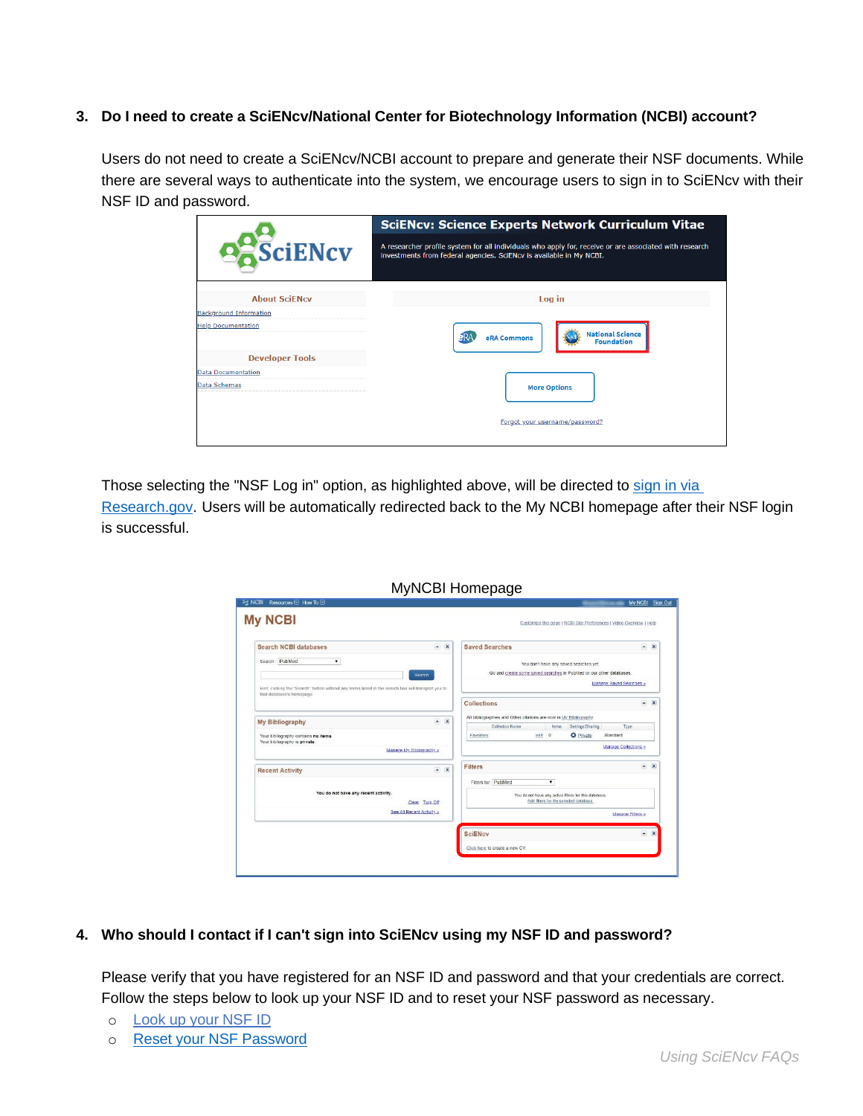#### **3. Do I need to create a SciENcv/National Center for Biotechnology Information (NCBI) account?**

 Users do not need to create a SciENcv/NCBI account to prepare and generate their NSF documents. While there are several ways to authenticate into the system, we encourage users to sign in to SciENcv with their NSF ID and password.

|                               | <b>SciENcv: Science Experts Network Curriculum Vitae</b>                                                                                                                      |
|-------------------------------|-------------------------------------------------------------------------------------------------------------------------------------------------------------------------------|
| <b>DESciENcv</b>              | A researcher profile system for all individuals who apply for, receive or are associated with research<br>investments from federal agencies. SciENcv is available in My NCBI. |
| <b>About SciENcy</b>          | Log in                                                                                                                                                                        |
| <b>Background Information</b> |                                                                                                                                                                               |
| <b>Help Documentation</b>     | <b>National Science</b><br>eRA Commons<br><b>Foundation</b>                                                                                                                   |
| <b>Developer Tools</b>        |                                                                                                                                                                               |
| <b>Data Documentation</b>     |                                                                                                                                                                               |
| Data Schemas                  | <b>More Options</b>                                                                                                                                                           |
|                               | Forgot your username/password?                                                                                                                                                |

Those selecting the "NSF Log in" option, as highlighted above, will be directed to sign in via

[Research.gov.](https://identity.research.gov/sso/UI/Login?module=nsf&env=prvw&app=portal) Users will be automatically redirected back to the My NCBI homepage after their NSF login is successful.

| EX NCBI Resources ⊠ How To 2                                                                                                     |                |                                                                                                                      | My NCBI Sign Out |
|----------------------------------------------------------------------------------------------------------------------------------|----------------|----------------------------------------------------------------------------------------------------------------------|------------------|
| <b>My NCBI</b>                                                                                                                   |                | Customize this page   NCBI Site Preferences   Video Overview   Help                                                  |                  |
| <b>Search NCBI databases</b>                                                                                                     | $\sim$ X       | <b>Saved Searches</b>                                                                                                | $\sim$ X         |
| Search: PubMed<br>$\mathbf{r}$                                                                                                   | Search         | You don't have any saved searches yet.<br>Go and create some saved searches in PubMed or our other databases.        |                  |
| Hint: clicking the "Search" button without any terms listed in the search box will transport you to<br>that database's homepage. |                | Manage Saved Searches                                                                                                |                  |
|                                                                                                                                  |                | <b>Collections</b>                                                                                                   | $\sim$ $\times$  |
| <b>My Bibliography</b>                                                                                                           | $\sim$ X       | All bibliographies and Other citations are now in My Bibliography                                                    |                  |
| Your bibliography contains no items.                                                                                             |                | Type<br>Collection Name<br>Items<br>Settings/Sharing<br><b>O</b> Private<br>Standard<br>edit<br>$\circ$<br>Favorites |                  |
| Your bibliography is private.<br>Manage My Bibliography »                                                                        |                | Manage Collections »                                                                                                 |                  |
| <b>Recent Activity</b>                                                                                                           | $ x$           | <b>Filters</b>                                                                                                       | $\sim$ X         |
|                                                                                                                                  |                | Filters for: PubMed<br>$\blacksquare$                                                                                |                  |
| You do not have any recent activity.                                                                                             | Clear Turn Off | You do not have any active fitters for this database.<br>Add filters for the selected database.                      |                  |
| See All Recent Activity »                                                                                                        |                | Manage Filters »                                                                                                     |                  |
|                                                                                                                                  |                | <b>SciENcv</b>                                                                                                       | $\sim$ X         |
|                                                                                                                                  |                | Click here to create a new CV.                                                                                       |                  |

#### **4. Who should I contact if I can't sign into SciENcv using my NSF ID and password?**

Please verify that you have registered for an NSF ID and password and that your credentials are correct. Follow the steps below to look up your NSF ID and to reset your NSF password as necessary.

- o [Look up your NSF ID](https://www.fastlane.nsf.gov/researchadmin/nsfIdLookupRead.do)
- o [Reset your NSF Password](https://identity.research.gov/sso/ui/NSFPWResetUserValidation?org=/research)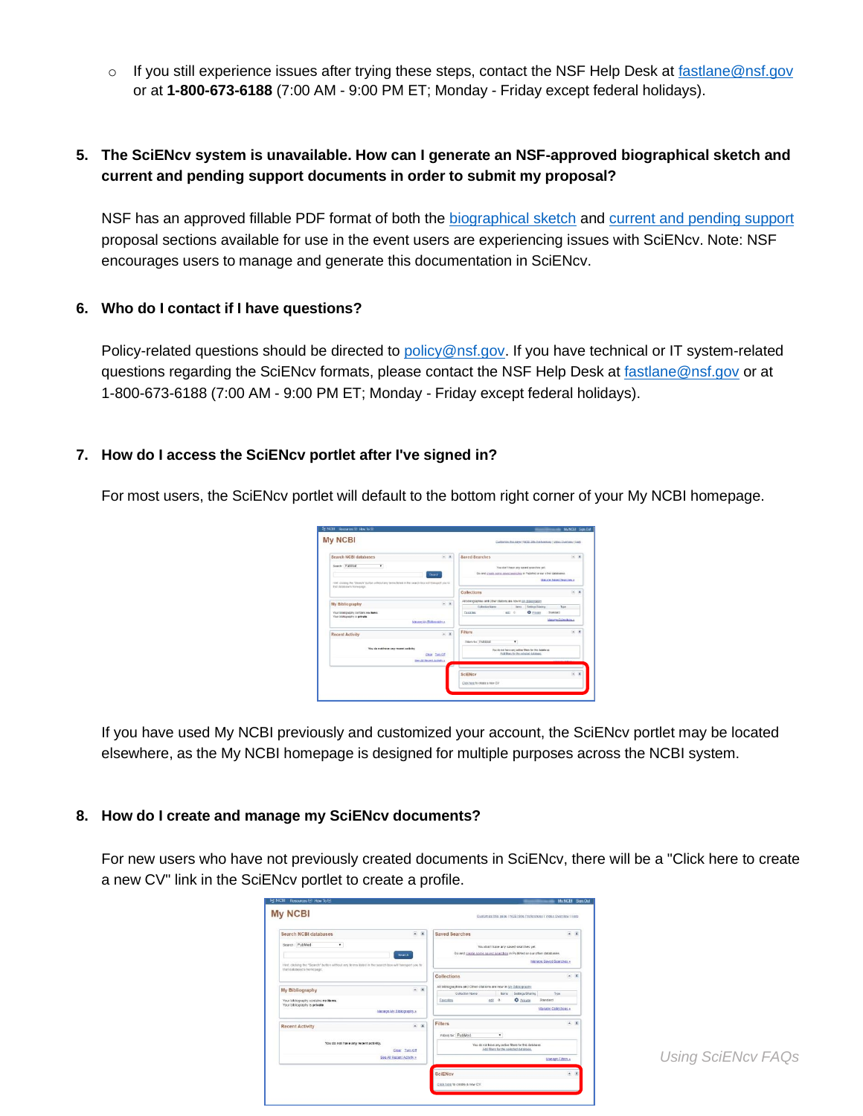$\circ$  If you still experience issues after trying these steps, contact the NSF Help Desk at fastlane@nsf.gov or at **1-800-673-6188** (7:00 AM - 9:00 PM ET; Monday - Friday except federal holidays).

#### **5. The SciENcv system is unavailable. How can I generate an NSF-approved biographical sketch and current and pending support documents in order to submit my proposal?**

NSF has an approved fillable PDF format of both the [biographical sketch a](https://www.nsf.gov/bfa/dias/policy/biosketch.jsp)nd current and pending support proposal sections available for use in the event users are experiencing issues with SciENcv. Note: NSF encourages users to manage and generate this documentation in SciENcv.

#### **6. Who do I contact if I have questions?**

Policy-related questions should be directed to [policy@nsf.gov.](mailto:policy@nsf.gov) If you have technical or IT system-related questions regarding the SciENcv formats, please contact the NSF Help Desk at [fastlane@nsf.gov o](mailto:fastlane@nsf.gov)r at 1-800-673-6188 (7:00 AM - 9:00 PM ET; Monday - Friday except federal holidays).

#### **7. How do I access the SciENcv portlet after I've signed in?**

For most users, the SciENcv portlet will default to the bottom right corner of your My NCBI homepage.

| Search NCBI databases                                                                                                           | $-2$  | <b>Saved Searches</b>                                                                              | $-$ K |
|---------------------------------------------------------------------------------------------------------------------------------|-------|----------------------------------------------------------------------------------------------------|-------|
| Search PubMed<br>$\bullet$                                                                                                      |       | You don't have any saved searches yet.                                                             |       |
| Bomb                                                                                                                            |       | Go and create some squest searches in PubMed or our other databases.                               |       |
| FIRE clicking the "Search" button without law terms listed in the search box will transport you to<br>\$47,06/a6454"s Nonepage. |       | Marane Saved Seasons a                                                                             |       |
|                                                                                                                                 |       | Collections                                                                                        | $-1$  |
| My Bibliography                                                                                                                 | $ x$  | All strangraphes and Other otations are now in Mr misingolatin                                     |       |
|                                                                                                                                 |       | Collection Name<br>Jane Betkun Skeing<br>Tor                                                       |       |
| Your bibliography contains no items<br>Your biblicorpshy is grivate.                                                            |       | O Parate<br>$0.221$ 0<br>faratto<br><b>NUMBER</b>                                                  |       |
| Manage UN Bhikogustrua                                                                                                          |       | Masage Ochections +                                                                                |       |
| <b>Recent Activity</b>                                                                                                          | $= 1$ | Filters                                                                                            | $ x$  |
|                                                                                                                                 |       | Fitiga for PubMod<br>٠                                                                             |       |
| You do not have any recent activity.<br>Case Tun Of                                                                             |       | You do not have any active filters for this detailures.<br>Add Blaze for the colocited detailerse. |       |
| See All Recent Actylin a                                                                                                        |       |                                                                                                    |       |
|                                                                                                                                 |       | <b>SciENcy</b>                                                                                     | $ x$  |
|                                                                                                                                 |       | Citis here to create a new CV                                                                      |       |

If you have used My NCBI previously and customized your account, the SciENcv portlet may be located elsewhere, as the My NCBI homepage is designed for multiple purposes across the NCBI system.

#### **8. How do I create and manage my SciENcv documents?**

 For new users who have not previously created documents in SciENcv, there will be a "Click here to create a new CV" link in the SciENcv portlet to create a profile.

| Search NCBI databases                                                                                                                                                         | $-$ X | <b>Saved Searches</b>                                                                                                                  | $*$ $X$   |
|-------------------------------------------------------------------------------------------------------------------------------------------------------------------------------|-------|----------------------------------------------------------------------------------------------------------------------------------------|-----------|
| Search: PubMed<br>$\blacksquare$<br>Search<br>Hint clicking the "Search" button without any terms listed in the search box will transport you to<br>that database's homepage. |       | You don't have any saved searches yet.<br>Go and create some keyed searches in PubMed or our other databases.<br>Manage Saved Searches |           |
|                                                                                                                                                                               |       | Collections                                                                                                                            | $ \times$ |
| My Bibliography                                                                                                                                                               | $- x$ | All bibliographies and Other citations are now in My Elbliography                                                                      |           |
|                                                                                                                                                                               |       | Type<br>Collection Name<br>Suttings/Sharing<br>harrs.<br>O Fricate<br><b>edi</b> 0<br>Standard<br>Easontes                             |           |
| Your bibliography contains no items<br>Your bibliography is private.                                                                                                          |       |                                                                                                                                        |           |
| Manage My Elbiography.»                                                                                                                                                       |       | Manage Colections .                                                                                                                    |           |
| <b>Recent Activity</b>                                                                                                                                                        | $-$ X | $-$ X<br>Filters                                                                                                                       |           |
|                                                                                                                                                                               |       | Fitters for: PubMed<br>٠                                                                                                               |           |
| You do not have any recent activity.                                                                                                                                          |       | You do not have any active filters for this database.                                                                                  |           |
| Clear Tum Off                                                                                                                                                                 |       | Add filters for the solocted database.                                                                                                 |           |
| See All Recent Activity >                                                                                                                                                     |       | Manage Filters x                                                                                                                       |           |
|                                                                                                                                                                               |       | <b>SciENcy</b><br>$A \times$                                                                                                           |           |
|                                                                                                                                                                               |       | Click here to create a new CV.                                                                                                         |           |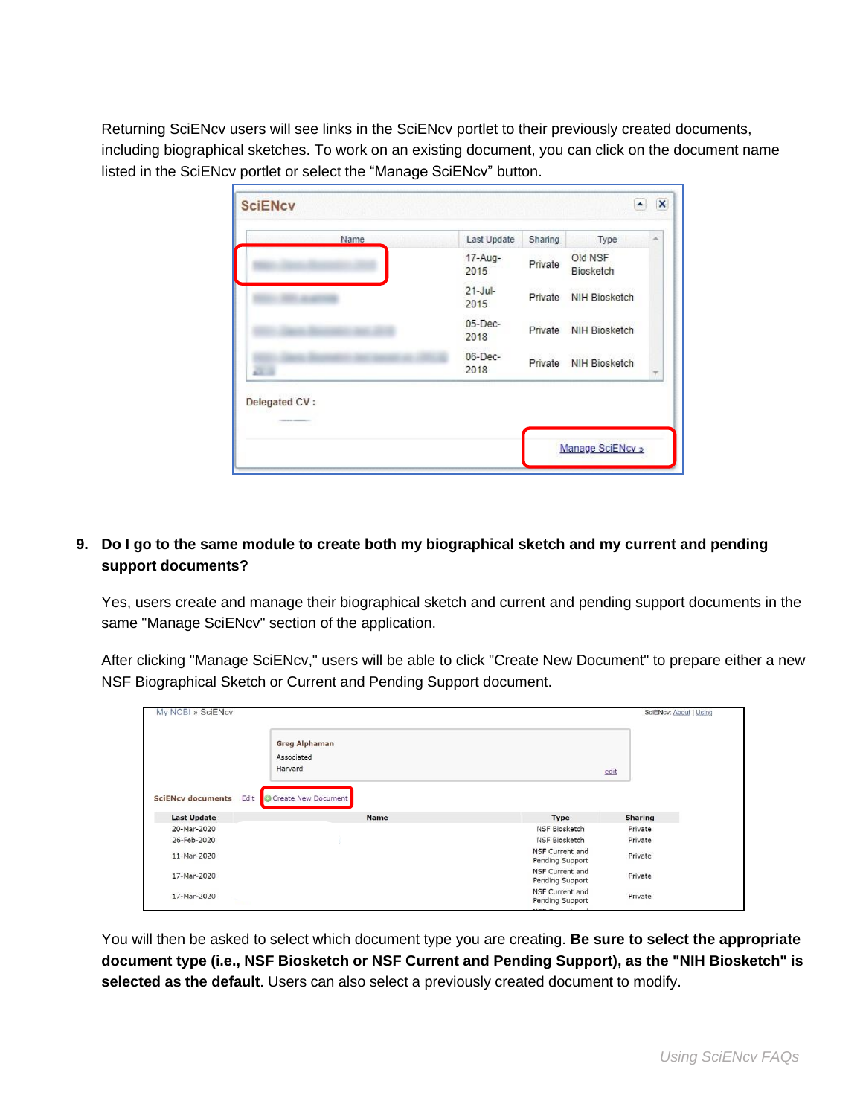Returning SciENcv users will see links in the SciENcv portlet to their previously created documents, including biographical sketches. To work on an existing document, you can click on the document name listed in the SciENcv portlet or select the "Manage SciENcv" button.

| 17-Aug-<br>Old NSF<br>Private<br>Biosketch<br>2015<br>$21 -$ Jul-<br><b>NIH Biosketch</b><br>Private<br>2015<br>$05$ -Dec-<br><b>NIH Biosketch</b><br>Private<br>2018 | Name | Last Update | Sharing | Type | × |
|-----------------------------------------------------------------------------------------------------------------------------------------------------------------------|------|-------------|---------|------|---|
|                                                                                                                                                                       |      |             |         |      |   |
|                                                                                                                                                                       |      |             |         |      |   |
|                                                                                                                                                                       |      |             |         |      |   |
| $06$ -Dec-<br><b>NIH Biosketch</b><br>Private<br>2018<br>$\mathbb{R}^n$ in                                                                                            |      |             |         |      |   |
| Delegated CV:                                                                                                                                                         |      |             |         |      |   |

#### **9. Do I go to the same module to create both my biographical sketch and my current and pending support documents?**

 Yes, users create and manage their biographical sketch and current and pending support documents in the same "Manage SciENcv" section of the application.

After clicking "Manage SciENcv," users will be able to click "Create New Document" to prepare either a new NSF Biographical Sketch or Current and Pending Support document.

| My NCBI » SciENcv                                      |                                    |                                    | SciENcv: About   Using |
|--------------------------------------------------------|------------------------------------|------------------------------------|------------------------|
| Harvard                                                | <b>Greg Alphaman</b><br>Associated |                                    | edit                   |
| Edit<br><b>SciENcv documents</b><br><b>Last Update</b> | Create New Document<br><b>Name</b> | <b>Type</b>                        | <b>Sharing</b>         |
| 20-Mar-2020                                            |                                    | <b>NSF Biosketch</b>               | Private                |
|                                                        |                                    |                                    |                        |
| 26-Feb-2020                                            |                                    | <b>NSF Biosketch</b>               | Private                |
| 11-Mar-2020                                            |                                    | NSF Current and<br>Pending Support | Private                |
| 17-Mar-2020                                            |                                    | NSF Current and<br>Pending Support | Private                |

 **document type (i.e., NSF Biosketch or NSF Current and Pending Support), as the "NIH Biosketch" is**  You will then be asked to select which document type you are creating. **Be sure to select the appropriate selected as the default**. Users can also select a previously created document to modify.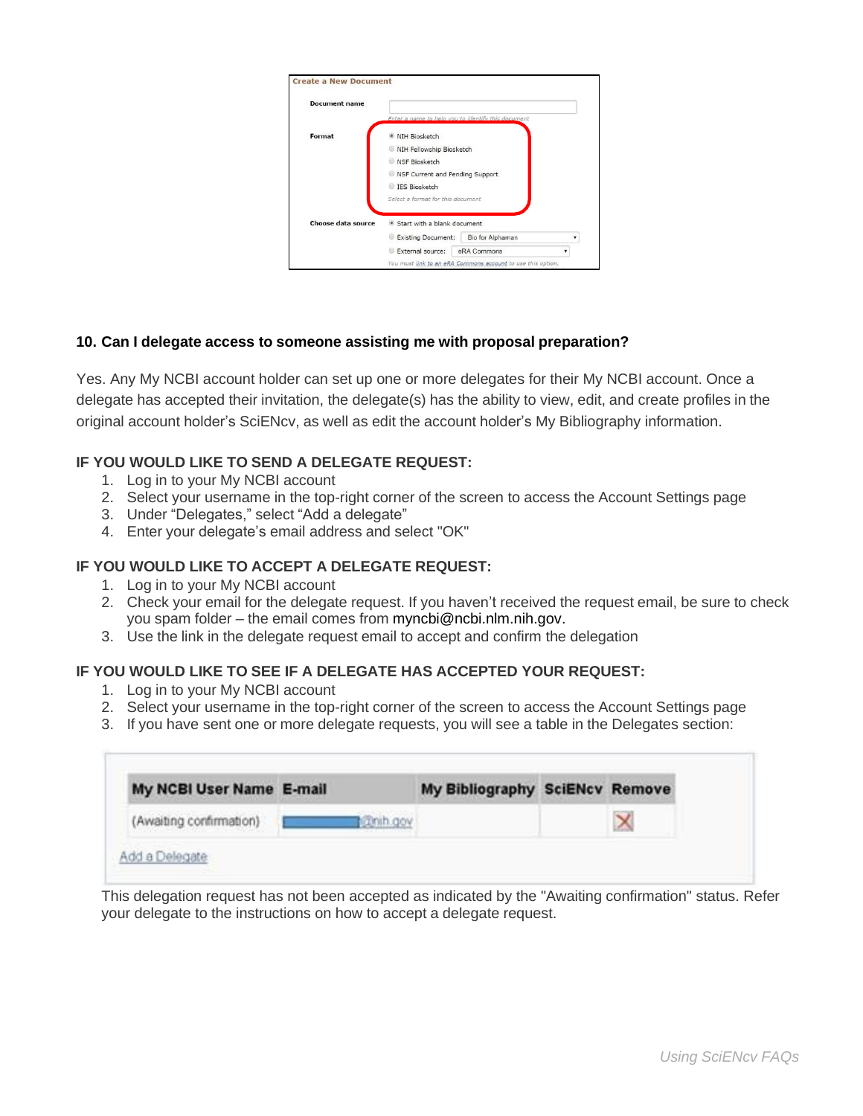| <b>Document name</b> |                                                      |
|----------------------|------------------------------------------------------|
|                      | Enter a name to help you to identify this document   |
| Format               | NIH Biosketch                                        |
|                      | NIH Fellowship Biosketch                             |
|                      | NSF Biosketch                                        |
|                      | NSF Current and Pending Support                      |
|                      | IES Biosketch                                        |
|                      | Select a format for this document                    |
| Choose data source   | Start with a blank document                          |
|                      | <b>Existing Document:</b><br><b>Bio for Alphaman</b> |
|                      | External source:<br>eRA Commons                      |

#### **10. Can I delegate access to someone assisting me with proposal preparation?**

 Yes. Any My NCBI account holder can set up one or more delegates for their My NCBI account. Once a delegate has accepted their invitation, the delegate(s) has the ability to view, edit, and create profiles in the original account holder's SciENcv, as well as edit the account holder's My Bibliography information.

#### **IF YOU WOULD LIKE TO SEND A DELEGATE REQUEST:**

- 1. Log in to your My NCBI account
- 2. Select your username in the top-right corner of the screen to access the Account Settings page
- 3. Under "Delegates," select "Add a delegate"
- 4. Enter your delegate's email address and select "OK"

#### **IF YOU WOULD LIKE TO ACCEPT A DELEGATE REQUEST:**

- 1. Log in to your My NCBI account
- 2. Check your email for the delegate request. If you haven't received the request email, be sure to check you spam folder – the email comes from [myncbi@ncbi.nlm.nih.gov.](mailto:myncbi@ncbi.nlm.nih.gov)
- 3. Use the link in the delegate request email to accept and confirm the delegation

#### **IF YOU WOULD LIKE TO SEE IF A DELEGATE HAS ACCEPTED YOUR REQUEST:**

- 1. Log in to your My NCBI account
- 2. Select your username in the top-right corner of the screen to access the Account Settings page
- 3. If you have sent one or more delegate requests, you will see a table in the Delegates section:

| My NCBI User Name E-mail |           | My Bibliography SciENcv Remove |  |
|--------------------------|-----------|--------------------------------|--|
| (Awaiting confirmation)  | czmih.gov |                                |  |

 This delegation request has not been accepted as indicated by the "Awaiting confirmation" status. Refer your delegate to the instructions on how to accept a delegate request.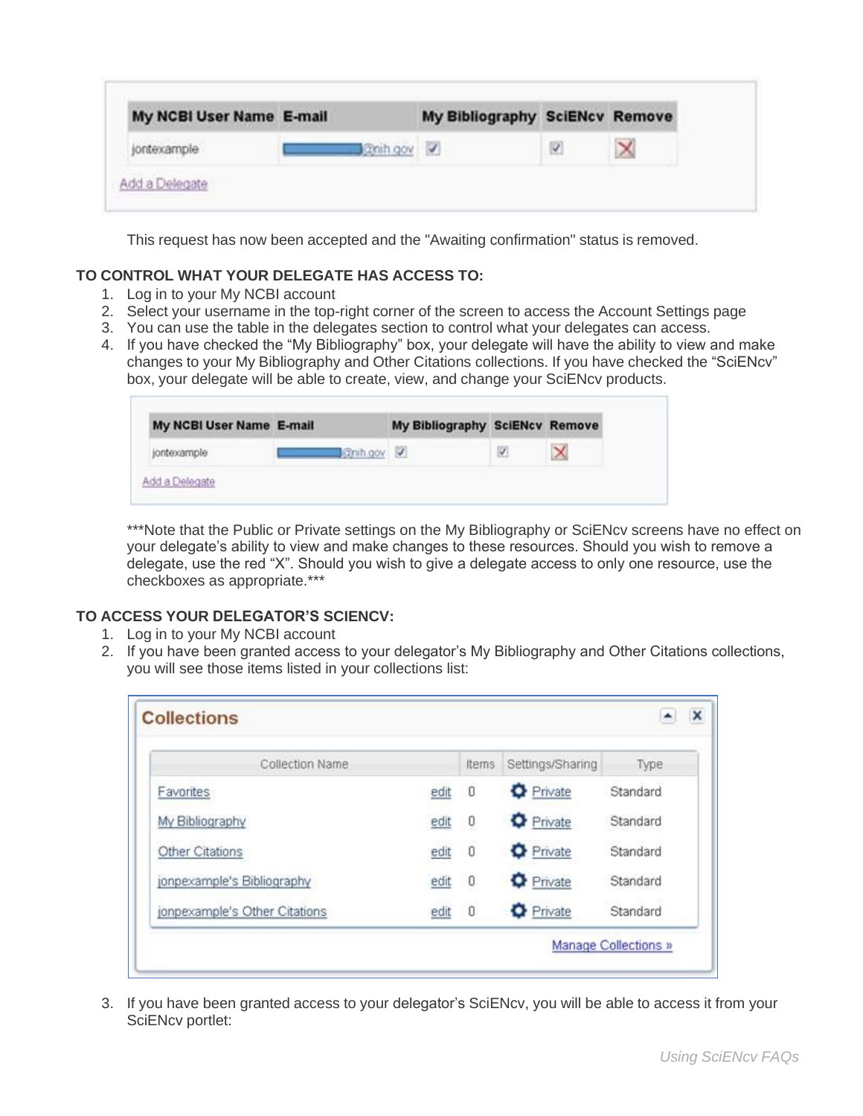| My NCBI User Name E-mail |          | My Bibliography SciENcv Remove |  |
|--------------------------|----------|--------------------------------|--|
| jontexample              | anih gov |                                |  |

This request has now been accepted and the "Awaiting confirmation" status is removed.

#### **TO CONTROL WHAT YOUR DELEGATE HAS ACCESS TO:**

- 1. Log in to your My NCBI account
- 2. Select your username in the top-right corner of the screen to access the Account Settings page
- 3. You can use the table in the delegates section to control what your delegates can access.
- 4. If you have checked the "My Bibliography" box, your delegate will have the ability to view and make changes to your My Bibliography and Other Citations collections. If you have checked the "SciENcv" box, your delegate will be able to create, view, and change your SciENcv products.

| My NCBI User Name E-mail                                                                             | My Bibliography SciENcv Remove |
|------------------------------------------------------------------------------------------------------|--------------------------------|
| <b>Chin gov</b><br>jontexample<br><b><i>CAR A DIVISION COMPANY</i></b><br>n 2000 000 000 000 000 000 |                                |

\*\*\*Note that the Public or Private settings on the My Bibliography or SciENcy screens have no effect on your delegate's ability to view and make changes to these resources. Should you wish to remove a delegate, use the red "X". Should you wish to give a delegate access to only one resource, use the checkboxes as appropriate.\*\*\*

#### **TO ACCESS YOUR DELEGATOR'S SCIENCV:**

- 1. Log in to your My NCBI account
- 2. If you have been granted access to your delegator's My Bibliography and Other Citations collections, you will see those items listed in your collections list:

| Collection Name               |      | Items          | Settings/Sharing | Type     |
|-------------------------------|------|----------------|------------------|----------|
| Favorites                     | edit | $\overline{0}$ | Private          | Standard |
| My Bibliography               | edit | 0              | <b>O</b> Private | Standard |
| Other Citations               | edit | $\overline{0}$ | <b>O</b> Private | Standard |
| jonpexample's Bibliography    | edit | 0              | <b>O</b> Private | Standard |
| jonpexample's Other Citations | edit | $\overline{0}$ | Private          | Standard |

3. If you have been granted access to your delegator's SciENcv, you will be able to access it from your SciENcv portlet: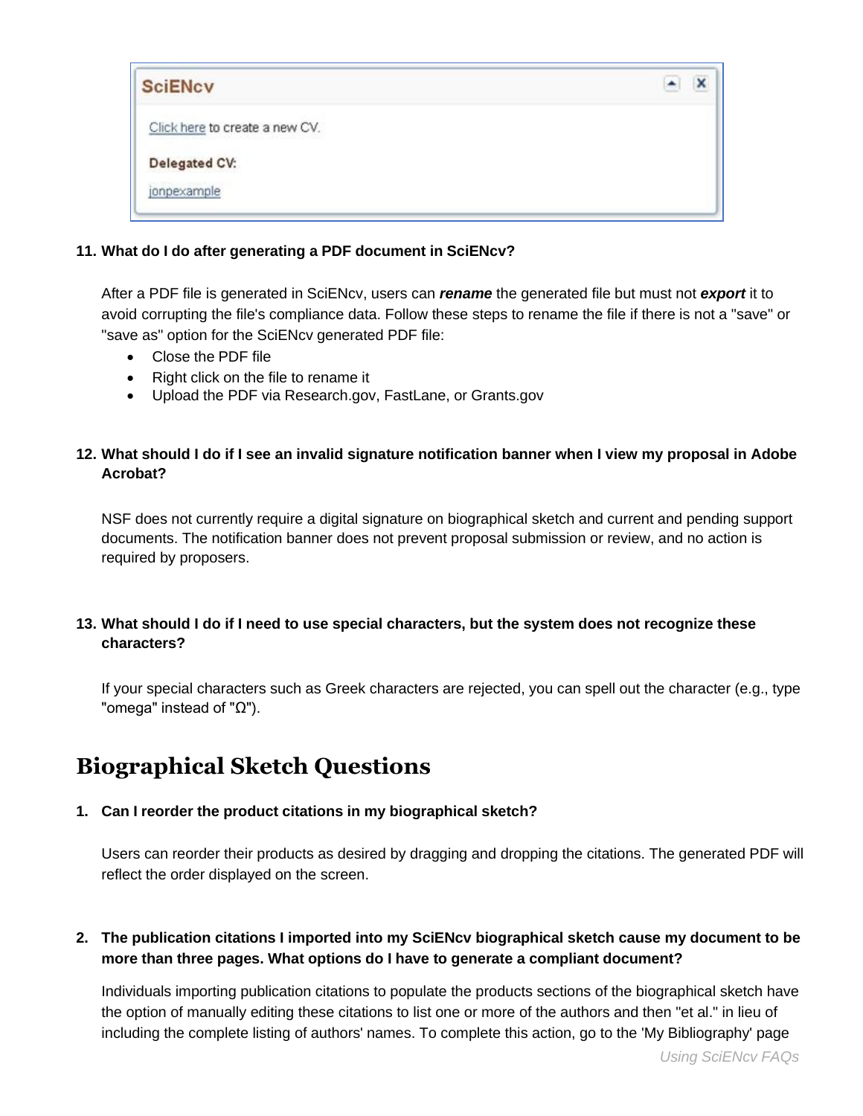| <b>SciENcv</b>                 |  |
|--------------------------------|--|
| Click here to create a new CV. |  |
| Delegated CV:                  |  |
| jonpexample                    |  |

#### **11. What do I do after generating a PDF document in SciENcv?**

 After a PDF file is generated in SciENcv, users can *rename* the generated file but must not *export* it to avoid corrupting the file's compliance data. Follow these steps to rename the file if there is not a "save" or "save as" option for the SciENcv generated PDF file:

- Close the PDF file
- Right click on the file to rename it
- Upload the PDF via [Research.gov,](https://Research.gov) FastLane, or [Grants.gov](https://Grants.gov)

#### **12. What should I do if I see an invalid signature notification banner when I view my proposal in Adobe Acrobat?**

 documents. The notification banner does not prevent proposal submission or review, and no action is NSF does not currently require a digital signature on biographical sketch and current and pending support required by proposers.

#### **13. What should I do if I need to use special characters, but the system does not recognize these characters?**

If your special characters such as Greek characters are rejected, you can spell out the character (e.g., type "omega" instead of "Ω").

## **Biographical Sketch Questions**

#### **1. Can I reorder the product citations in my biographical sketch?**

Users can reorder their products as desired by dragging and dropping the citations. The generated PDF will reflect the order displayed on the screen.

#### **2. The publication citations I imported into my SciENcv biographical sketch cause my document to be more than three pages. What options do I have to generate a compliant document?**

Individuals importing publication citations to populate the products sections of the biographical sketch have the option of manually editing these citations to list one or more of the authors and then "et al." in lieu of including the complete listing of authors' names. To complete this action, go to the 'My Bibliography' page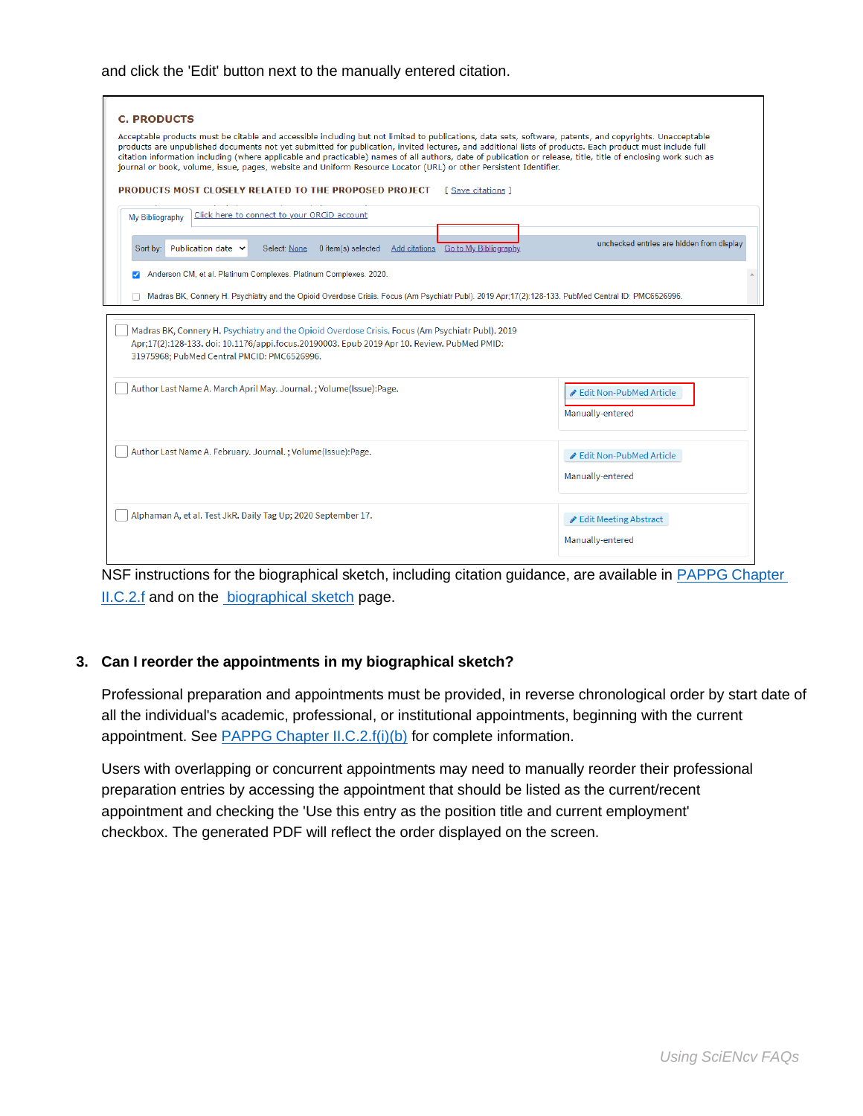#### and click the 'Edit' button next to the manually entered citation.

| <b>C. PRODUCTS</b><br>Acceptable products must be citable and accessible including but not limited to publications, data sets, software, patents, and copyrights. Unacceptable<br>products are unpublished documents not yet submitted for publication, invited lectures, and additional lists of products. Each product must include full<br>citation information including (where applicable and practicable) names of all authors, date of publication or release, title, title of enclosing work such as<br>journal or book, volume, issue, pages, website and Uniform Resource Locator (URL) or other Persistent Identifier.<br>PRODUCTS MOST CLOSELY RELATED TO THE PROPOSED PROJECT<br>[ Save citations ] |                                             |  |
|------------------------------------------------------------------------------------------------------------------------------------------------------------------------------------------------------------------------------------------------------------------------------------------------------------------------------------------------------------------------------------------------------------------------------------------------------------------------------------------------------------------------------------------------------------------------------------------------------------------------------------------------------------------------------------------------------------------|---------------------------------------------|--|
| Click here to connect to your ORCiD account<br>My Bibliography<br>Add citations Go to My Bibliography<br>Publication date v<br>Sort by:<br>Select: None<br>0 item(s) selected                                                                                                                                                                                                                                                                                                                                                                                                                                                                                                                                    | unchecked entries are hidden from display   |  |
| Anderson CM, et al. Platinum Complexes. Platinum Complexes. 2020.<br>Madras BK, Connery H. Psychiatry and the Opioid Overdose Crisis. Focus (Am Psychiatr Publ). 2019 Apr;17(2):128-133. PubMed Central ID: PMC6526996.                                                                                                                                                                                                                                                                                                                                                                                                                                                                                          |                                             |  |
| Madras BK, Connery H. Psychiatry and the Opioid Overdose Crisis. Focus (Am Psychiatr Publ). 2019<br>Apr;17(2):128-133. doi: 10.1176/appi.focus.20190003. Epub 2019 Apr 10. Review. PubMed PMID:<br>31975968; PubMed Central PMCID: PMC6526996.                                                                                                                                                                                                                                                                                                                                                                                                                                                                   |                                             |  |
| Author Last Name A. March April May. Journal.; Volume(Issue):Page.                                                                                                                                                                                                                                                                                                                                                                                                                                                                                                                                                                                                                                               | Edit Non-PubMed Article<br>Manually-entered |  |
| Author Last Name A. February. Journal.; Volume(Issue):Page.                                                                                                                                                                                                                                                                                                                                                                                                                                                                                                                                                                                                                                                      | Edit Non-PubMed Article<br>Manually-entered |  |
| Alphaman A, et al. Test JkR. Daily Tag Up; 2020 September 17.                                                                                                                                                                                                                                                                                                                                                                                                                                                                                                                                                                                                                                                    | ✔ Edit Meeting Abstract<br>Manually-entered |  |

NSF instructions for the biographical sketch, including citation guidance, are available in [PAPPG Chapter](https://www.nsf.gov/pubs/policydocs/pappg22_1/pappg_2.jsp#IIC2f)  [II.C.2.f](https://www.nsf.gov/pubs/policydocs/pappg22_1/pappg_2.jsp#IIC2f) and on the [biographical sketch p](https://www.nsf.gov/bfa/dias/policy/biosketch.jsp)age.

#### **3. Can I reorder the appointments in my biographical sketch?**

Professional preparation and appointments must be provided, in reverse chronological order by start date of all the individual's academic, professional, or institutional appointments, beginning with the current appointment. See [PAPPG Chapter II.C.2.f\(i\)\(b\) f](https://www.nsf.gov/pubs/policydocs/pappg22_1/pappg_2.jsp#IIC2fib)or complete information.

 preparation entries by accessing the appointment that should be listed as the current/recent checkbox. The generated PDF will reflect the order displayed on the screen. Users with overlapping or concurrent appointments may need to manually reorder their professional appointment and checking the 'Use this entry as the position title and current employment'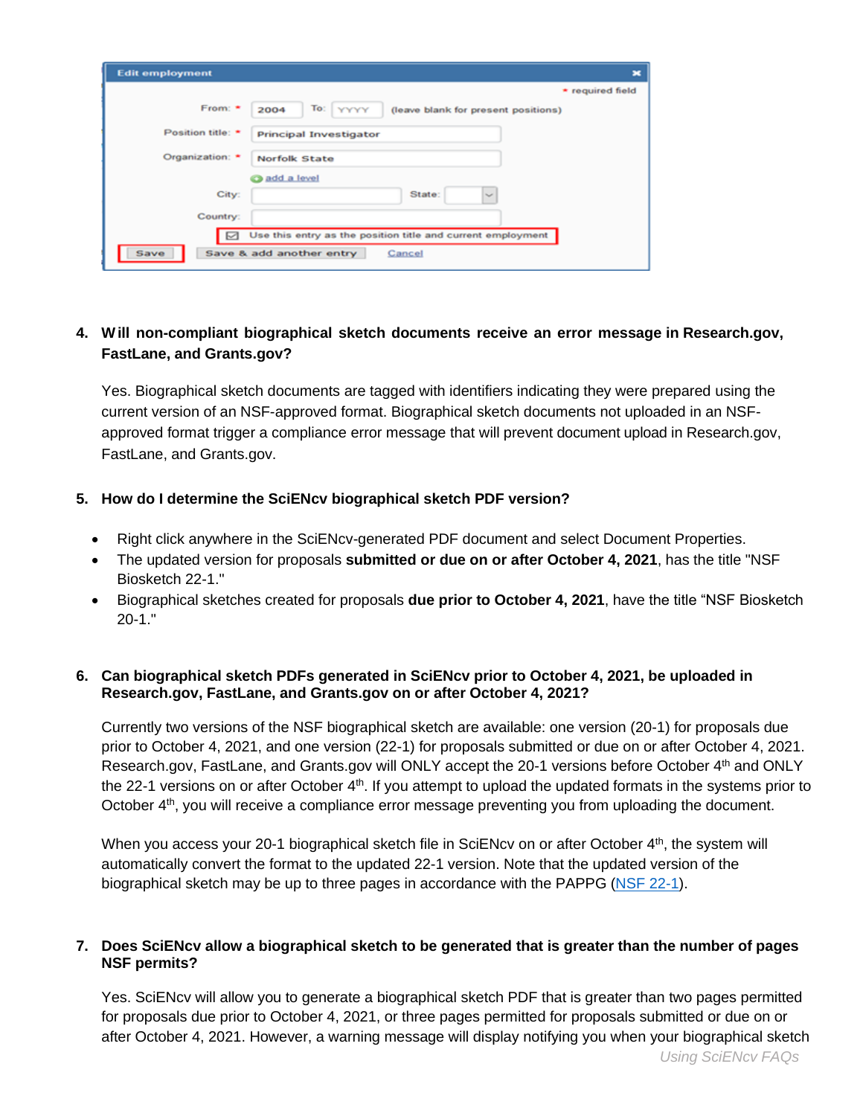| <b>Edit employment</b> | ×                                                           |
|------------------------|-------------------------------------------------------------|
|                        | * required field                                            |
| From: *                | To: YYYYY<br>2004<br>(leave blank for present positions)    |
| Position title: *      | <b>Principal Investigator</b>                               |
| Organization: *        | Norfolk State                                               |
|                        | add a level                                                 |
| City:                  | State:<br>$\sim$                                            |
| Country:               |                                                             |
| ∣⊠                     | Use this entry as the position title and current employment |
| Save                   | Save & add another entry<br>Cancel                          |

#### **4. W ill non-compliant biographical sketch documents receive an error message in [Research.gov](https://Research.gov), FastLane, and [Grants.gov?](https://Grants.gov)**

 current version of an NSF-approved format. Biographical sketch documents not uploaded in an NSF- approved format trigger a compliance error message that will prevent document upload in [Research.gov,](https://Research.gov) Yes. Biographical sketch documents are tagged with identifiers indicating they were prepared using the FastLane, and [Grants.gov](https://Grants.gov).

#### **5. How do I determine the SciENcv biographical sketch PDF version?**

- Right click anywhere in the SciENcv-generated PDF document and select Document Properties.
- The updated version for proposals **submitted or due on or after October 4, 2021**, has the title "NSF Biosketch 22-1."
- Biographical sketches created for proposals **due prior to October 4, 2021**, have the title "NSF Biosketch 20-1."

#### **6. Can biographical sketch PDFs generated in SciENcv prior to October 4, 2021, be uploaded in [Research.gov,](https://Research.gov) FastLane, and [Grants.gov](https://Grants.gov) on or after October 4, 2021?**

 prior to October 4, 2021, and one version (22-1) for proposals submitted or due on or after October 4, 2021. [Research.gov,](https://Research.gov) FastLane, and [Grants.gov](https://Grants.gov) will ONLY accept the 20-1 versions before October 4<sup>th</sup> and ONLY October 4<sup>th</sup>, you will receive a compliance error message preventing you from uploading the document. Currently two versions of the NSF biographical sketch are available: one version (20-1) for proposals due the 22-1 versions on or after October  $4<sup>th</sup>$ . If you attempt to upload the updated formats in the systems prior to

When you access your 20-1 biographical sketch file in SciENcv on or after October 4<sup>th</sup>, the system will automatically convert the format to the updated 22-1 version. Note that the updated version of the biographical sketch may be up to three pages in accordance with the PAPPG [\(NSF 22-1\)](https://www.nsf.gov/publications/pub_summ.jsp?ods_key=nsf22001).

#### **7. Does SciENcv allow a biographical sketch to be generated that is greater than the number of pages NSF permits?**

 Yes. SciENcv will allow you to generate a biographical sketch PDF that is greater than two pages permitted for proposals due prior to October 4, 2021, or three pages permitted for proposals submitted or due on or after October 4, 2021. However, a warning message will display notifying you when your biographical sketch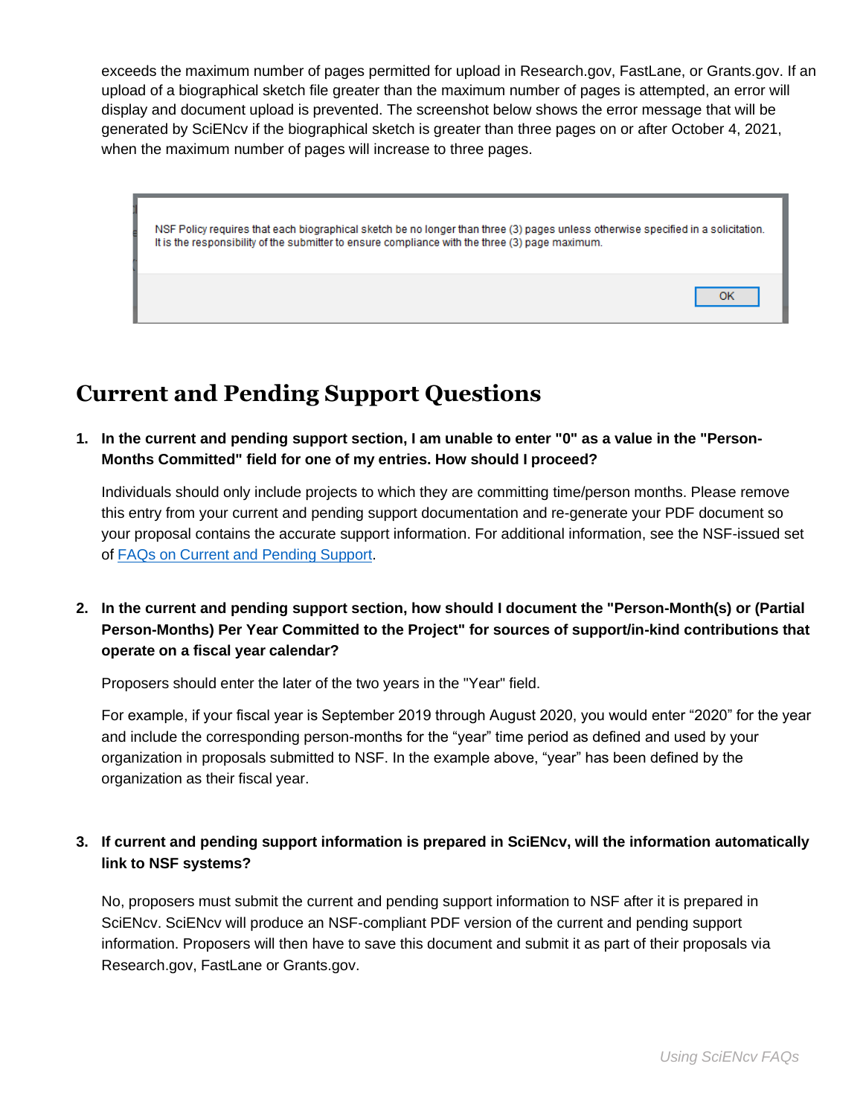exceeds the maximum number of pages permitted for upload in [Research.gov,](https://Research.gov) FastLane, or [Grants.gov](https://Grants.gov). If an upload of a biographical sketch file greater than the maximum number of pages is attempted, an error will display and document upload is prevented. The screenshot below shows the error message that will be generated by SciENcv if the biographical sketch is greater than three pages on or after October 4, 2021, when the maximum number of pages will increase to three pages.

NSF Policy requires that each biographical sketch be no longer than three (3) pages unless otherwise specified in a solicitation. It is the responsibility of the submitter to ensure compliance with the three (3) page maximum.

# **Current and Pending Support Questions**

 **1. In the current and pending support section, I am unable to enter "0" as a value in the "Person-Months Committed" field for one of my entries. How should I proceed?** 

Individuals should only include projects to which they are committing time/person months. Please remove this entry from your current and pending support documentation and re-generate your PDF document so your proposal contains the accurate support information. For additional information, see the NSF-issued set of [FAQs on Current and Pending Support.](https://www.nsf.gov/bfa/dias/policy/cps_faqs/currentandpendingfaqs_june2021.pdf)

 **2. In the current and pending support section, how should I document the "Person-Month(s) or (Partial Person-Months) Per Year Committed to the Project" for sources of support/in-kind contributions that operate on a fiscal year calendar?** 

Proposers should enter the later of the two years in the "Year" field.

 For example, if your fiscal year is September 2019 through August 2020, you would enter "2020" for the year organization in proposals submitted to NSF. In the example above, "year" has been defined by the and include the corresponding person-months for the "year" time period as defined and used by your organization as their fiscal year.

#### **3. If current and pending support information is prepared in SciENcv, will the information automatically link to NSF systems?**

 No, proposers must submit the current and pending support information to NSF after it is prepared in SciENcv. SciENcv will produce an NSF-compliant PDF version of the current and pending support information. Proposers will then have to save this document and submit it as part of their proposals via [Research.gov,](https://Research.gov) FastLane or [Grants.gov](https://Grants.gov).

OK